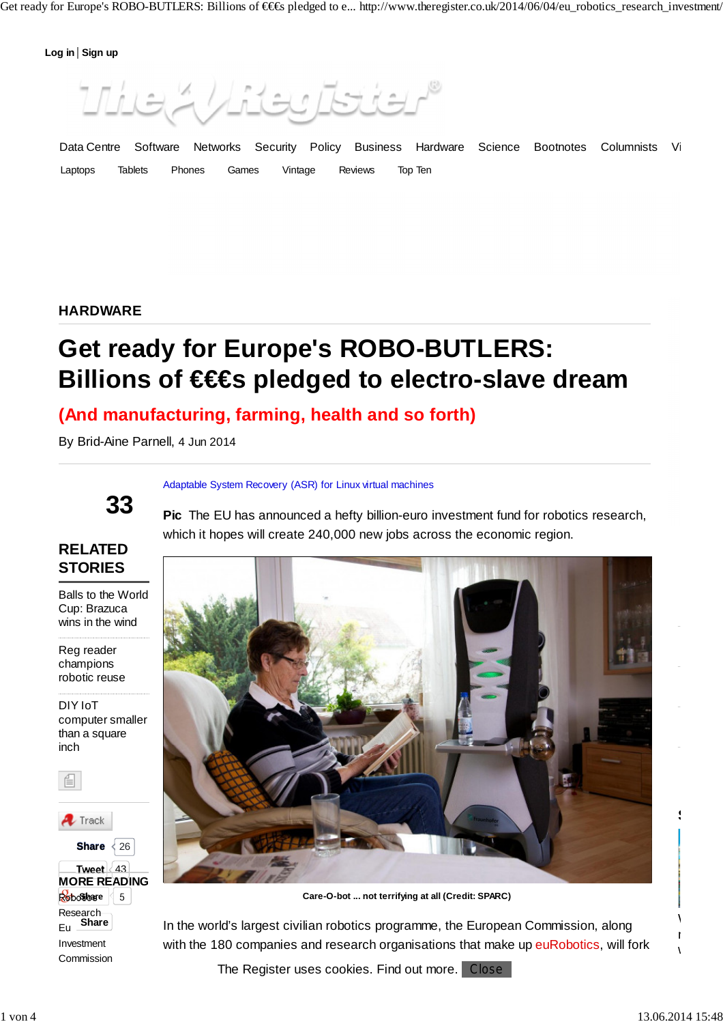**Log in Sign up**

(م: 7 ∏ *أ* 

Laptops Tablets Phones Games Vintage Reviews Top Ten Data Centre Software Networks Security Policy Business Hardware Science Bootnotes Columnists Vi

#### **HARDWARE**

# **Get ready for Europe's ROBO-BUTLERS: Billions of €€€s pledged to electro-slave dream**

## **(And manufacturing, farming, health and so forth)**

By Brid-Aine Parnell, 4 Jun 2014

**33**

#### Adaptable System Recovery (ASR) for Linux virtual machines

**Pic** The EU has announced a hefty billion-euro investment fund for robotics research, which it hopes will create 240,000 new jobs across the economic region.

### **RELATED STORIES**

Balls to the World Cup: Brazuca wins in the wind

Reg reader champions robotic reuse

DIY IoT computer smaller than a square inch



 $\blacktriangle$  Track

**Share**  $\leq 26$ **Tweet** 43 **MORE READING** Robothare 5 Research<br>Eu Share Eu Investment Commission



**Care-O-bot ... not terrifying at all (Credit: SPARC)**

share **In the world's largest civilian robotics programme**, the European Commission, along with the 180 companies and research organisations that make up euRobotics, will fork

The Register uses cookies. Find out more. Close

n w

**S**